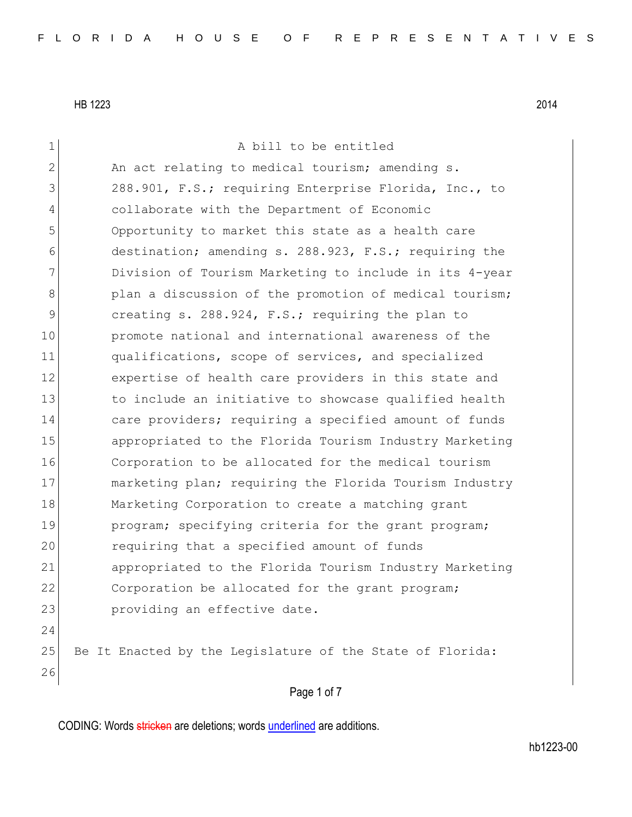Page 1 of 7 1 a bill to be entitled 2 An act relating to medical tourism; amending s. 3 288.901, F.S.; requiring Enterprise Florida, Inc., to 4 collaborate with the Department of Economic 5 Opportunity to market this state as a health care 6 destination; amending s. 288.923, F.S.; requiring the 7 Division of Tourism Marketing to include in its 4-year 8 plan a discussion of the promotion of medical tourism; 9 creating s. 288.924, F.S.; requiring the plan to 10 promote national and international awareness of the 11 qualifications, scope of services, and specialized 12 expertise of health care providers in this state and 13 13 to include an initiative to showcase qualified health 14 care providers; requiring a specified amount of funds 15 appropriated to the Florida Tourism Industry Marketing 16 Corporation to be allocated for the medical tourism 17 marketing plan; requiring the Florida Tourism Industry 18 Marketing Corporation to create a matching grant 19 program; specifying criteria for the grant program; 20 requiring that a specified amount of funds 21 appropriated to the Florida Tourism Industry Marketing 22 Corporation be allocated for the grant program; 23 providing an effective date. 24 25 Be It Enacted by the Legislature of the State of Florida: 26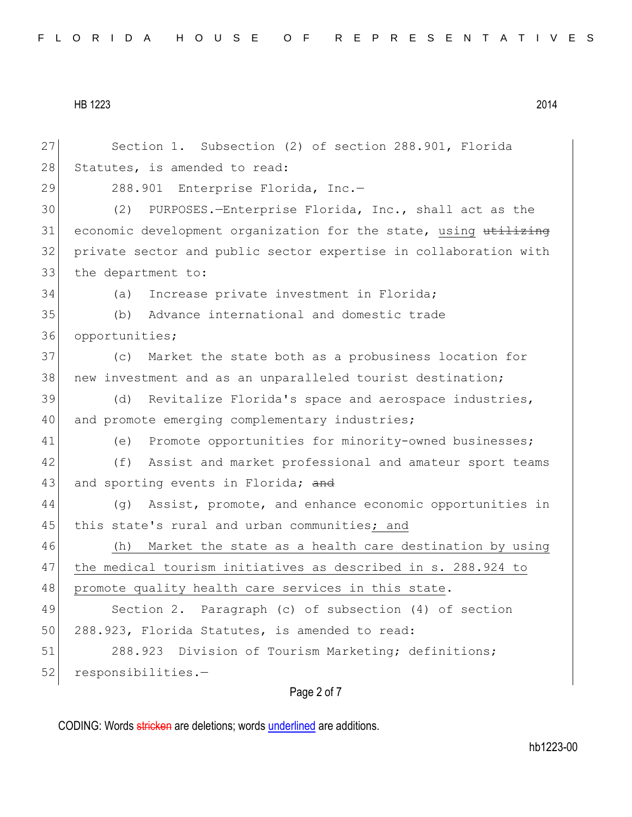27 Section 1. Subsection (2) of section 288.901, Florida 28 Statutes, is amended to read: 29 288.901 Enterprise Florida, Inc.-30 (2) PURPOSES.—Enterprise Florida, Inc., shall act as the 31 economic development organization for the state, using utilizing 32 private sector and public sector expertise in collaboration with 33 the department to: 34 (a) Increase private investment in Florida; 35 (b) Advance international and domestic trade 36 opportunities; 37 (c) Market the state both as a probusiness location for 38 new investment and as an unparalleled tourist destination; 39 (d) Revitalize Florida's space and aerospace industries, 40 and promote emerging complementary industries; 41 (e) Promote opportunities for minority-owned businesses; 42 (f) Assist and market professional and amateur sport teams 43 and sporting events in Florida; and 44 (g) Assist, promote, and enhance economic opportunities in 45 | this state's rural and urban communities; and 46 (h) Market the state as a health care destination by using 47 the medical tourism initiatives as described in s. 288.924 to 48 promote quality health care services in this state. 49 Section 2. Paragraph (c) of subsection (4) of section 50 288.923, Florida Statutes, is amended to read: 51 288.923 Division of Tourism Marketing; definitions; 52 responsibilities.-

## Page 2 of 7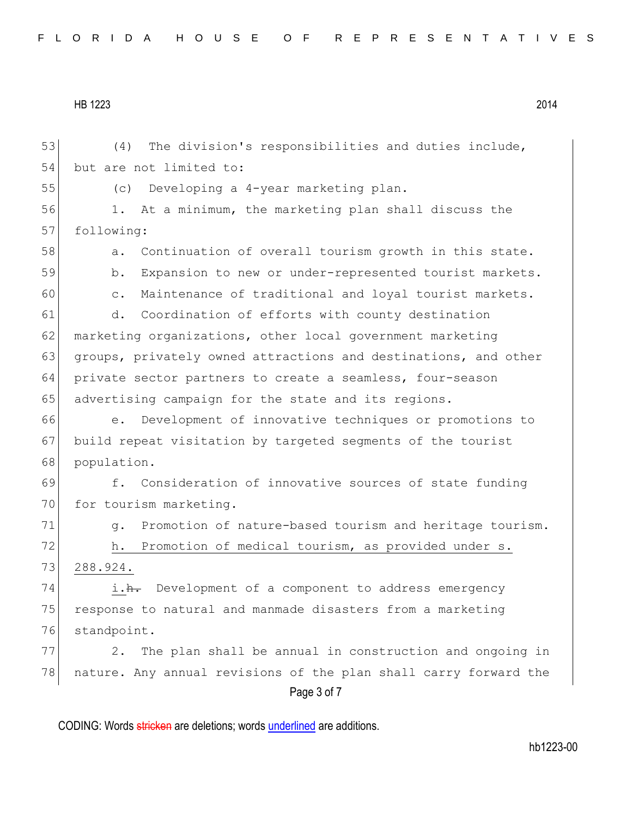Page 3 of 7 53 (4) The division's responsibilities and duties include, 54 but are not limited to: 55 (c) Developing a 4-year marketing plan. 56 1. At a minimum, the marketing plan shall discuss the 57 following: 58 a. Continuation of overall tourism growth in this state. 59 b. Expansion to new or under-represented tourist markets. 60 c. Maintenance of traditional and loyal tourist markets. 61 d. Coordination of efforts with county destination 62 marketing organizations, other local government marketing 63 groups, privately owned attractions and destinations, and other 64 private sector partners to create a seamless, four-season 65 advertising campaign for the state and its regions. 66 e. Development of innovative techniques or promotions to 67 build repeat visitation by targeted segments of the tourist 68 population. 69 f. Consideration of innovative sources of state funding 70 for tourism marketing. 71 g. Promotion of nature-based tourism and heritage tourism. 72 h. Promotion of medical tourism, as provided under s. 73 288.924. 74 i.h. Development of a component to address emergency 75 response to natural and manmade disasters from a marketing 76 standpoint. 77 2. The plan shall be annual in construction and ongoing in 78 nature. Any annual revisions of the plan shall carry forward the

CODING: Words stricken are deletions; words underlined are additions.

hb1223-00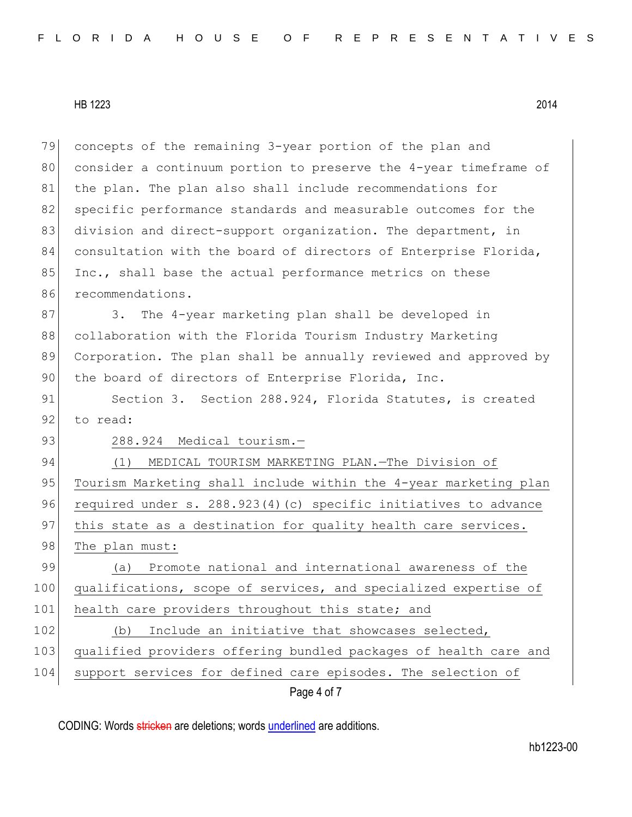79 concepts of the remaining 3-year portion of the plan and 80 consider a continuum portion to preserve the 4-year timeframe of 81 the plan. The plan also shall include recommendations for 82 specific performance standards and measurable outcomes for the 83 division and direct-support organization. The department, in 84 consultation with the board of directors of Enterprise Florida, 85 Inc., shall base the actual performance metrics on these 86 recommendations.

87 3. The 4-year marketing plan shall be developed in 88 collaboration with the Florida Tourism Industry Marketing 89 Corporation. The plan shall be annually reviewed and approved by 90 the board of directors of Enterprise Florida, Inc.

91 Section 3. Section 288.924, Florida Statutes, is created 92 to read:

93 288.924 Medical tourism.-

94 (1) MEDICAL TOURISM MARKETING PLAN. - The Division of 95 Tourism Marketing shall include within the 4-year marketing plan 96 required under s. 288.923(4)(c) specific initiatives to advance 97 | this state as a destination for quality health care services. 98 The plan must: 99 (a) Promote national and international awareness of the 100 qualifications, scope of services, and specialized expertise of

101 health care providers throughout this state; and

102 (b) Include an initiative that showcases selected,

103 qualified providers offering bundled packages of health care and

104 support services for defined care episodes. The selection of

Page 4 of 7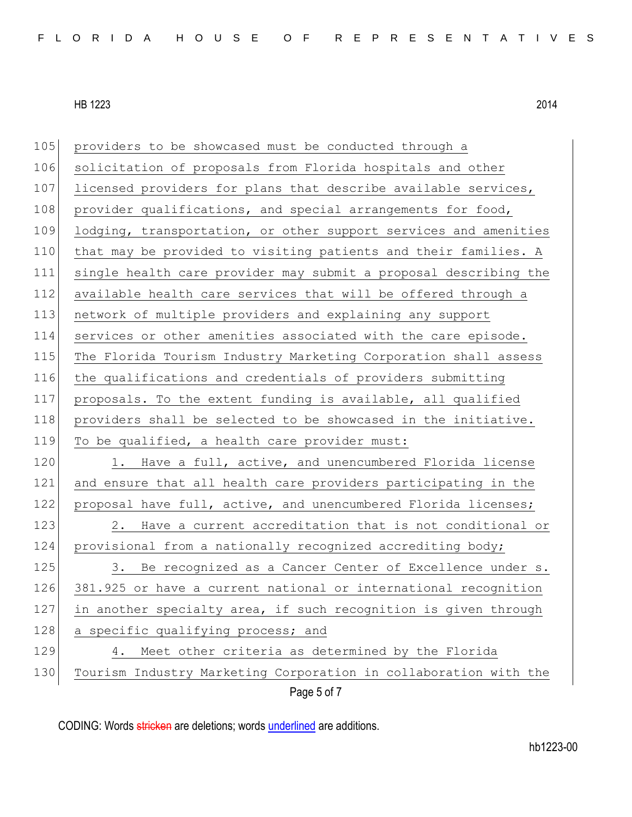| 105 | providers to be showcased must be conducted through a            |
|-----|------------------------------------------------------------------|
| 106 | solicitation of proposals from Florida hospitals and other       |
| 107 | licensed providers for plans that describe available services,   |
| 108 | provider qualifications, and special arrangements for food,      |
| 109 | lodging, transportation, or other support services and amenities |
| 110 | that may be provided to visiting patients and their families. A  |
| 111 | single health care provider may submit a proposal describing the |
| 112 | available health care services that will be offered through a    |
| 113 | network of multiple providers and explaining any support         |
| 114 | services or other amenities associated with the care episode.    |
| 115 | The Florida Tourism Industry Marketing Corporation shall assess  |
| 116 | the qualifications and credentials of providers submitting       |
| 117 | proposals. To the extent funding is available, all qualified     |
| 118 | providers shall be selected to be showcased in the initiative.   |
| 119 | To be qualified, a health care provider must:                    |
| 120 | 1. Have a full, active, and unencumbered Florida license         |
| 121 | and ensure that all health care providers participating in the   |
| 122 | proposal have full, active, and unencumbered Florida licenses;   |
| 123 | Have a current accreditation that is not conditional or<br>2.    |
| 124 | provisional from a nationally recognized accrediting body;       |
| 125 | 3.<br>Be recognized as a Cancer Center of Excellence under s.    |
| 126 | 381.925 or have a current national or international recognition  |
| 127 | in another specialty area, if such recognition is given through  |
| 128 | a specific qualifying process; and                               |
| 129 | Meet other criteria as determined by the Florida<br>4.           |
| 130 | Tourism Industry Marketing Corporation in collaboration with the |
|     | Page 5 of 7                                                      |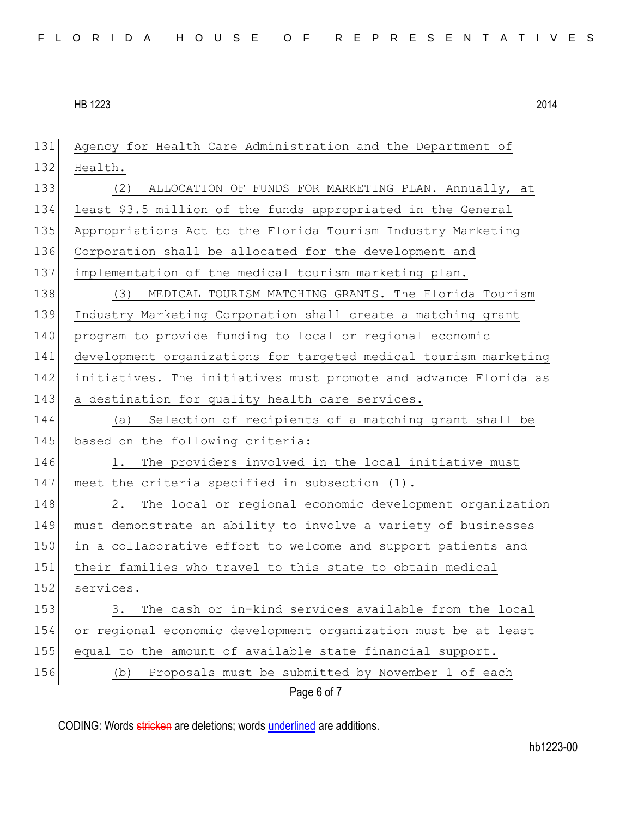| 131 | Agency for Health Care Administration and the Department of      |
|-----|------------------------------------------------------------------|
| 132 | Health.                                                          |
| 133 | ALLOCATION OF FUNDS FOR MARKETING PLAN.-Annually, at<br>(2)      |
| 134 | least \$3.5 million of the funds appropriated in the General     |
| 135 | Appropriations Act to the Florida Tourism Industry Marketing     |
| 136 | Corporation shall be allocated for the development and           |
| 137 | implementation of the medical tourism marketing plan.            |
| 138 | MEDICAL TOURISM MATCHING GRANTS. The Florida Tourism<br>(3)      |
| 139 | Industry Marketing Corporation shall create a matching grant     |
| 140 | program to provide funding to local or regional economic         |
| 141 | development organizations for targeted medical tourism marketing |
| 142 | initiatives. The initiatives must promote and advance Florida as |
| 143 | a destination for quality health care services.                  |
| 144 | Selection of recipients of a matching grant shall be<br>(a)      |
| 145 | based on the following criteria:                                 |
| 146 | The providers involved in the local initiative must<br>1.        |
| 147 | meet the criteria specified in subsection (1).                   |
| 148 | The local or regional economic development organization<br>2.    |
| 149 | must demonstrate an ability to involve a variety of businesses   |
| 150 | in a collaborative effort to welcome and support patients and    |
| 151 | their families who travel to this state to obtain medical        |
| 152 | services.                                                        |
| 153 | The cash or in-kind services available from the local<br>3.      |
| 154 | or regional economic development organization must be at least   |
| 155 | equal to the amount of available state financial support.        |
| 156 | Proposals must be submitted by November 1 of each<br>(b)         |
|     | Page 6 of 7                                                      |